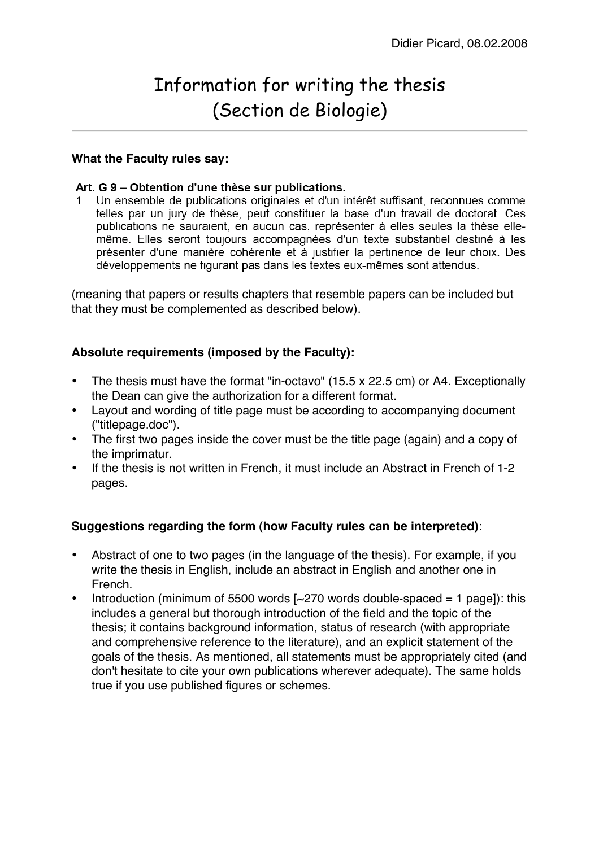# Information for writing the thesis (Section de Biologie)

#### **What the Faculty rules say:**

#### Art. G 9 - Obtention d'une thèse sur publications.

1. Un ensemble de publications originales et d'un intérêt suffisant, reconnues comme telles par un jury de thèse, peut constituer la base d'un travail de doctorat. Ces publications ne sauraient, en aucun cas, représenter à elles seules la thèse ellemême. Elles seront toujours accompagnées d'un texte substantiel destiné à les présenter d'une manière cohérente et à justifier la pertinence de leur choix. Des développements ne figurant pas dans les textes eux-mêmes sont attendus.

(meaning that papers or results chapters that resemble papers can be included but that they must be complemented as described below).

## **Absolute requirements (imposed by the Faculty):**

- The thesis must have the format "in-octavo" (15.5 x 22.5 cm) or A4. Exceptionally the Dean can give the authorization for a different format.
- Layout and wording of title page must be according to accompanying document ("titlepage.doc").
- The first two pages inside the cover must be the title page (again) and a copy of the imprimatur.
- If the thesis is not written in French, it must include an Abstract in French of 1-2 pages.

## **Suggestions regarding the form (how Faculty rules can be interpreted)**:

- Abstract of one to two pages (in the language of the thesis). For example, if you write the thesis in English, include an abstract in English and another one in French.
- Introduction (minimum of 5500 words  $\sim$  270 words double-spaced = 1 page]): this includes a general but thorough introduction of the field and the topic of the thesis; it contains background information, status of research (with appropriate and comprehensive reference to the literature), and an explicit statement of the goals of the thesis. As mentioned, all statements must be appropriately cited (and don't hesitate to cite your own publications wherever adequate). The same holds true if you use published figures or schemes.